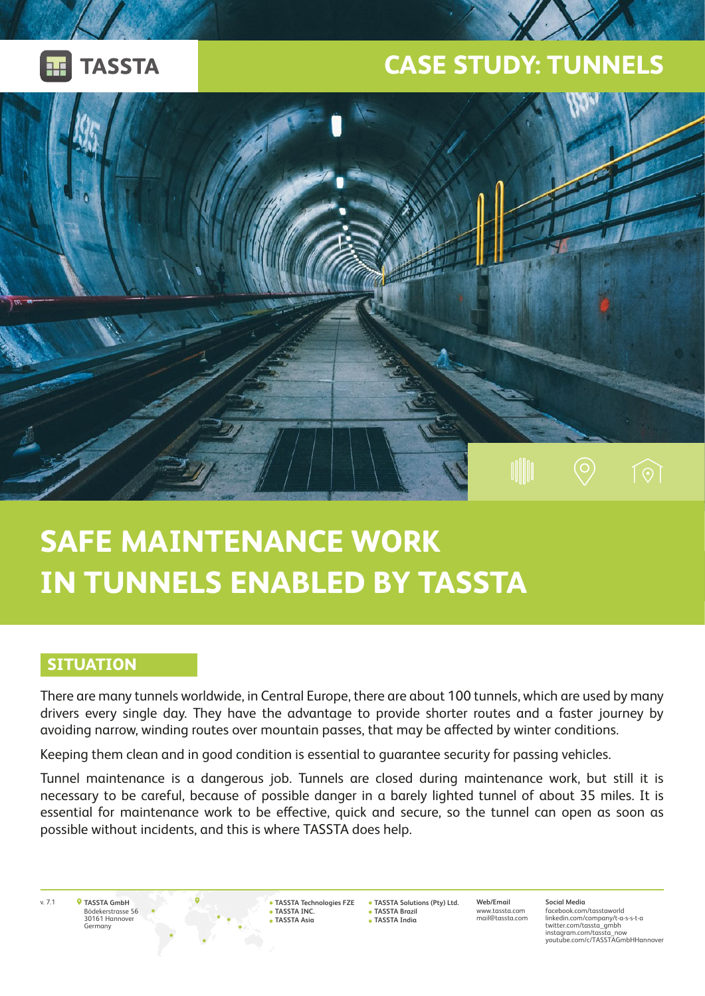

## **CASE STUDY: TUNNELS**



# **SAFE MAINTENANCE WORK IN TUNNELS ENABLED BY TASSTA**

## **SITUATION**

There are many tunnels worldwide, in Central Europe, there are about 100 tunnels, which are used by many drivers every single day. They have the advantage to provide shorter routes and a faster journey by avoiding narrow, winding routes over mountain passes, that may be affected by winter conditions.

Keeping them clean and in good condition is essential to guarantee security for passing vehicles.

Tunnel maintenance is a dangerous job. Tunnels are closed during maintenance work, but still it is necessary to be careful, because of possible danger in a barely lighted tunnel of about 35 miles. It is essential for maintenance work to be effective, quick and secure, so the tunnel can open as soon as possible without incidents, and this is where TASSTA does help.

**TASSTA GmbH** Bödekerstrasse 56 30161 Hannover Germany

v. 7.1 **Web/Email TASSTA Solutions (Pty) Ltd. TASSTA Technologies FZE TASSTA INC. TASSTA Asia**

**TASSTA Brazil TASSTA India**

www.tassta.com mail@tassta.com

**Social Media** facebook.com/tasstaworld linkedin.com/company/t-a-s-s-t-a twitter.com/tassta\_gmbh instagram.com/tassta\_now instagram.com/tassta\_now<br>youtube.com/c/TASSTAGmbHHannover